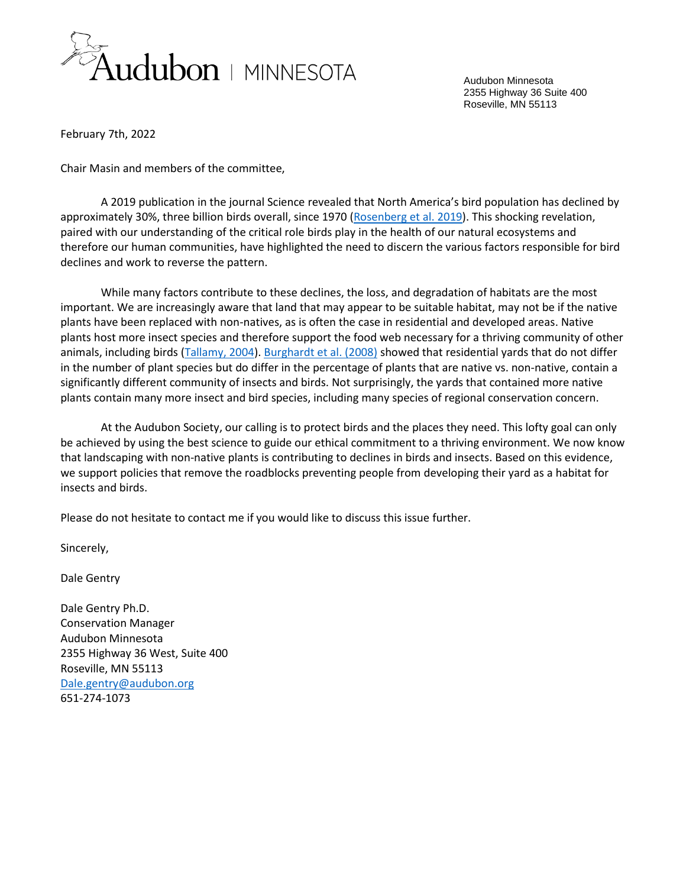

Audubon Minnesota 2355 Highway 36 Suite 400 Roseville, MN 55113

February 7th, 2022

Chair Masin and members of the committee,

A 2019 publication in the journal Science revealed that North America's bird population has declined by approximately 30%, three billion birds overall, since 1970 [\(Rosenberg et al. 2019\)](https://par.nsf.gov/servlets/purl/10133018). This shocking revelation, paired with our understanding of the critical role birds play in the health of our natural ecosystems and therefore our human communities, have highlighted the need to discern the various factors responsible for bird declines and work to reverse the pattern.

While many factors contribute to these declines, the loss, and degradation of habitats are the most important. We are increasingly aware that land that may appear to be suitable habitat, may not be if the native plants have been replaced with non-natives, as is often the case in residential and developed areas. Native plants host more insect species and therefore support the food web necessary for a thriving community of other animals, including birds [\(Tallamy, 2004\)](https://d3pcsg2wjq9izr.cloudfront.net/files/8392/articles/9966/DoAlienPlantsReduceInsectBiomass.pdf)[. Burghardt et al. \(2008\)](https://conbio.onlinelibrary.wiley.com/doi/pdfdirect/10.1111/j.1523-1739.2008.01076.x) showed that residential yards that do not differ in the number of plant species but do differ in the percentage of plants that are native vs. non-native, contain a significantly different community of insects and birds. Not surprisingly, the yards that contained more native plants contain many more insect and bird species, including many species of regional conservation concern.

At the Audubon Society, our calling is to protect birds and the places they need. This lofty goal can only be achieved by using the best science to guide our ethical commitment to a thriving environment. We now know that landscaping with non-native plants is contributing to declines in birds and insects. Based on this evidence, we support policies that remove the roadblocks preventing people from developing their yard as a habitat for insects and birds.

Please do not hesitate to contact me if you would like to discuss this issue further.

Sincerely,

Dale Gentry

Dale Gentry Ph.D. Conservation Manager Audubon Minnesota 2355 Highway 36 West, Suite 400 Roseville, MN 55113 [Dale.gentry@audubon.org](mailto:Dale.gentry@audubon.org) 651-274-1073